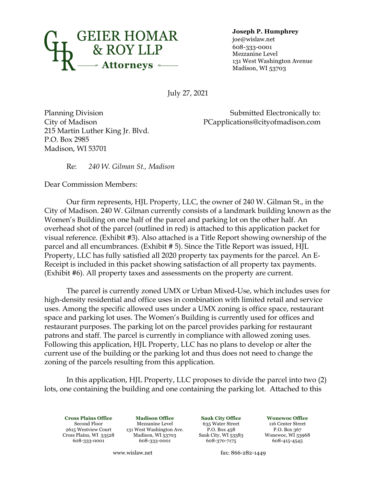

**Joseph P. Humphrey**

joe@wislaw.net 608-333-0001 Mezzanine Level 131 West Washington Avenue Madison, WI 53703

July 27, 2021

Planning Division City of Madison 215 Martin Luther King Jr. Blvd. P.O. Box 2985 Madison, WI 53701

Submitted Electronically to: PCapplications@cityofmadison.com

Re: *240 W. Gilman St., Madison*

Dear Commission Members:

Our firm represents, HJL Property, LLC, the owner of 240 W. Gilman St., in the City of Madison. 240 W. Gilman currently consists of a landmark building known as the Women's Building on one half of the parcel and parking lot on the other half. An overhead shot of the parcel (outlined in red) is attached to this application packet for visual reference. (Exhibit #3). Also attached is a Title Report showing ownership of the parcel and all encumbrances. (Exhibit # 5). Since the Title Report was issued, HJL Property, LLC has fully satisfied all 2020 property tax payments for the parcel. An E-Receipt is included in this packet showing satisfaction of all property tax payments. (Exhibit #6). All property taxes and assessments on the property are current.

The parcel is currently zoned UMX or Urban Mixed-Use, which includes uses for high-density residential and office uses in combination with limited retail and service uses. Among the specific allowed uses under a UMX zoning is office space, restaurant space and parking lot uses. The Women's Building is currently used for offices and restaurant purposes. The parking lot on the parcel provides parking for restaurant patrons and staff. The parcel is currently in compliance with allowed zoning uses. Following this application, HJL Property, LLC has no plans to develop or alter the current use of the building or the parking lot and thus does not need to change the zoning of the parcels resulting from this application.

In this application, HJL Property, LLC proposes to divide the parcel into two (2) lots, one containing the building and one containing the parking lot. Attached to this

**Cross Plains Office Madison Office Sauk City Office Wonewoc Office** Second Floor Mezzanine Level 635 Water Street 116 Center Street 2615 Westview Court 131 West Washington Ave. P.O. Box 458 P.O. Box 367 Madison, WI 53703 Sauk City, WI 53583 Wonewoc, WI 539<br>608-333-0001 608-370-7175 608-415-4545 608-333-0001 608-333-0001

www.wislaw.net fax: 866-282-1449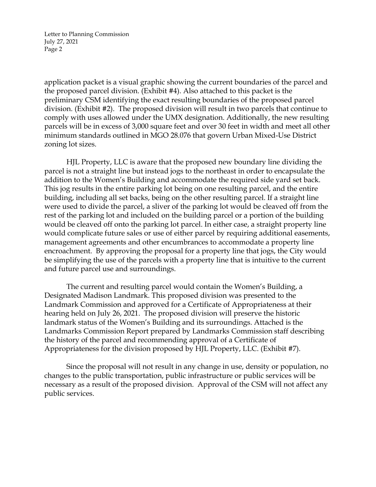Letter to Planning Commission July 27, 2021 Page 2

application packet is a visual graphic showing the current boundaries of the parcel and the proposed parcel division. (Exhibit #4). Also attached to this packet is the preliminary CSM identifying the exact resulting boundaries of the proposed parcel division. (Exhibit #2). The proposed division will result in two parcels that continue to comply with uses allowed under the UMX designation. Additionally, the new resulting parcels will be in excess of 3,000 square feet and over 30 feet in width and meet all other minimum standards outlined in MGO 28.076 that govern Urban Mixed-Use District zoning lot sizes.

HJL Property, LLC is aware that the proposed new boundary line dividing the parcel is not a straight line but instead jogs to the northeast in order to encapsulate the addition to the Women's Building and accommodate the required side yard set back. This jog results in the entire parking lot being on one resulting parcel, and the entire building, including all set backs, being on the other resulting parcel. If a straight line were used to divide the parcel, a sliver of the parking lot would be cleaved off from the rest of the parking lot and included on the building parcel or a portion of the building would be cleaved off onto the parking lot parcel. In either case, a straight property line would complicate future sales or use of either parcel by requiring additional easements, management agreements and other encumbrances to accommodate a property line encroachment. By approving the proposal for a property line that jogs, the City would be simplifying the use of the parcels with a property line that is intuitive to the current and future parcel use and surroundings.

The current and resulting parcel would contain the Women's Building, a Designated Madison Landmark. This proposed division was presented to the Landmark Commission and approved for a Certificate of Appropriateness at their hearing held on July 26, 2021. The proposed division will preserve the historic landmark status of the Women's Building and its surroundings. Attached is the Landmarks Commission Report prepared by Landmarks Commission staff describing the history of the parcel and recommending approval of a Certificate of Appropriateness for the division proposed by HJL Property, LLC. (Exhibit #7).

Since the proposal will not result in any change in use, density or population, no changes to the public transportation, public infrastructure or public services will be necessary as a result of the proposed division. Approval of the CSM will not affect any public services.